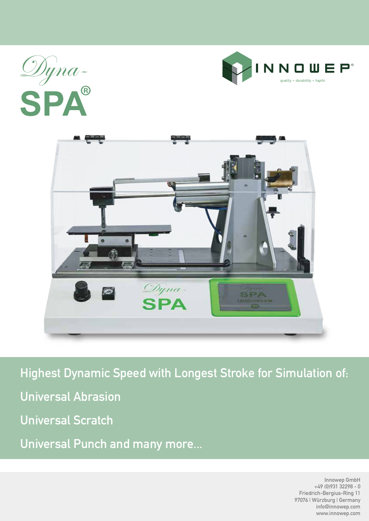





**Highest Dynamic Speed with Longest Stroke for Simulation of: Universal Abrasion Universal Scratch Universal Punch and many more...**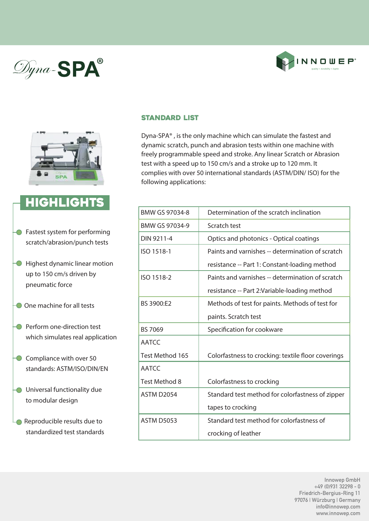## Dyna-SPA®





### **HIGHLIGHTS**

- **•** Fastest system for performing scratch/abrasion/punch tests
- **In Highest dynamic linear motion**  up to 150 cm/s driven by pneumatic force
- One machine for all tests
- **Perform one-direction test** which simulates real application
- $\bigcirc$  Compliance with over 50 standards: ASTM/ISO/DIN/EN
- **O** Universal functionality due to modular design
- Reproducible results due to standardized test standards

#### Standard List

Dyna-SPA® , is the only machine which can simulate the fastest and dynamic scratch, punch and abrasion tests within one machine with freely programmable speed and stroke. Any linear Scratch or Abrasion test with a speed up to 150 cm/s and a stroke up to 120 mm. It complies with over 50 international standards (ASTM/DIN/ ISO) for the following applications:

| BMW GS 97034-8    | Determination of the scratch inclination           |
|-------------------|----------------------------------------------------|
| BMW GS 97034-9    | Scratch test                                       |
| DIN 9211-4        | Optics and photonics - Optical coatings            |
| ISO 1518-1        | Paints and varnishes -- determination of scratch   |
|                   | resistance -- Part 1: Constant-loading method      |
| ISO 1518-2        | Paints and varnishes -- determination of scratch   |
|                   | resistance -- Part 2:Variable-loading method       |
| BS 3900:E2        | Methods of test for paints. Methods of test for    |
|                   | paints. Scratch test                               |
| BS 7069           | Specification for cookware                         |
| <b>AATCC</b>      |                                                    |
| Test Method 165   | Colorfastness to crocking: textile floor coverings |
| <b>AATCC</b>      |                                                    |
| Test Method 8     | Colorfastness to crocking                          |
| <b>ASTM D2054</b> | Standard test method for colorfastness of zipper   |
|                   | tapes to crocking                                  |
| <b>ASTM D5053</b> | Standard test method for colorfastness of          |
|                   | crocking of leather                                |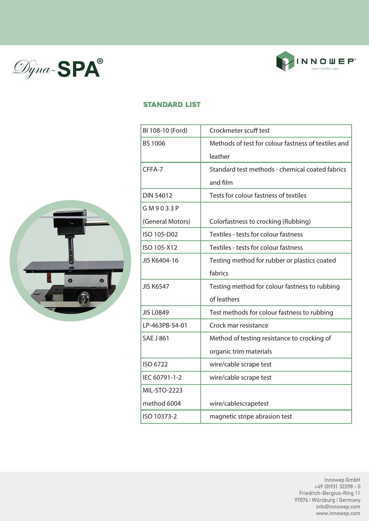



#### Standard List



| BI 108-10 (Ford)    | Crockmeter scuff test                               |
|---------------------|-----------------------------------------------------|
| <b>BS 1006</b>      | Methods of test for colour fastness of textiles and |
|                     | leather                                             |
| CFFA-7              | Standard test methods - chemical coated fabrics     |
|                     | and film                                            |
| <b>DIN 54012</b>    | Tests for colour fastness of textiles               |
| GM9033P             |                                                     |
| (General Motors)    | Colorfastness to crocking (Rubbing)                 |
| ISO 105-D02         | Textiles - tests for colour fastness                |
| ISO 105-X12         | Textiles - tests for colour fastness                |
| JIS K6404-16        | Testing method for rubber or plastics coated        |
|                     | fabrics                                             |
| <b>JIS K6547</b>    | Testing method for colour fastness to rubbing       |
|                     | of leathers                                         |
| <b>JIS L0849</b>    | Test methods for colour fastness to rubbing         |
| LP-463PB-54-01      | Crock mar resistance                                |
| <b>SAE J 861</b>    | Method of testing resistance to crocking of         |
|                     | organic trim materials                              |
| ISO 6722            | wire/cable scrape test                              |
| IEC 60791-1-2       | wire/cable scrape test                              |
| <b>MIL-STO-2223</b> |                                                     |
| method 6004         | wire/cablescrapetest                                |
| ISO 10373-2         | magnetic stripe abrasion test                       |
|                     |                                                     |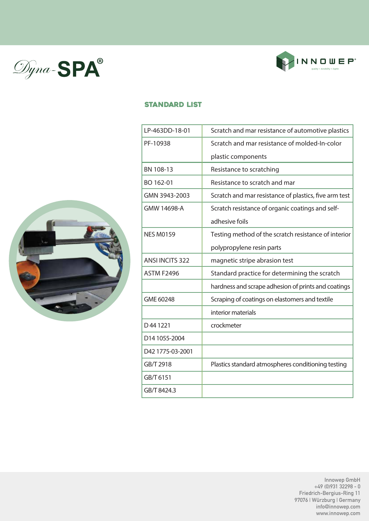



#### Standard List



| LP-463DD-18-01         | Scratch and mar resistance of automotive plastics     |
|------------------------|-------------------------------------------------------|
| PF-10938               | Scratch and mar resistance of molded-In-color         |
|                        | plastic components                                    |
| BN 108-13              | Resistance to scratching                              |
| BO 162-01              | Resistance to scratch and mar                         |
| GMN 3943-2003          | Scratch and mar resistance of plastics, five arm test |
| GMW 14698-A            | Scratch resistance of organic coatings and self-      |
|                        | adhesive foils                                        |
| <b>NES M0159</b>       | Testing method of the scratch resistance of interior  |
|                        | polypropylene resin parts                             |
| <b>ANSI INCITS 322</b> | magnetic stripe abrasion test                         |
| <b>ASTM F2496</b>      | Standard practice for determining the scratch         |
|                        | hardness and scrape adhesion of prints and coatings   |
| GME 60248              | Scraping of coatings on elastomers and textile        |
|                        | interior materials                                    |
| D441221                | crockmeter                                            |
| D14 1055-2004          |                                                       |
| D42 1775-03-2001       |                                                       |
| GB/T 2918              | Plastics standard atmospheres conditioning testing    |
| GB/T 6151              |                                                       |
| GB/T 8424.3            |                                                       |